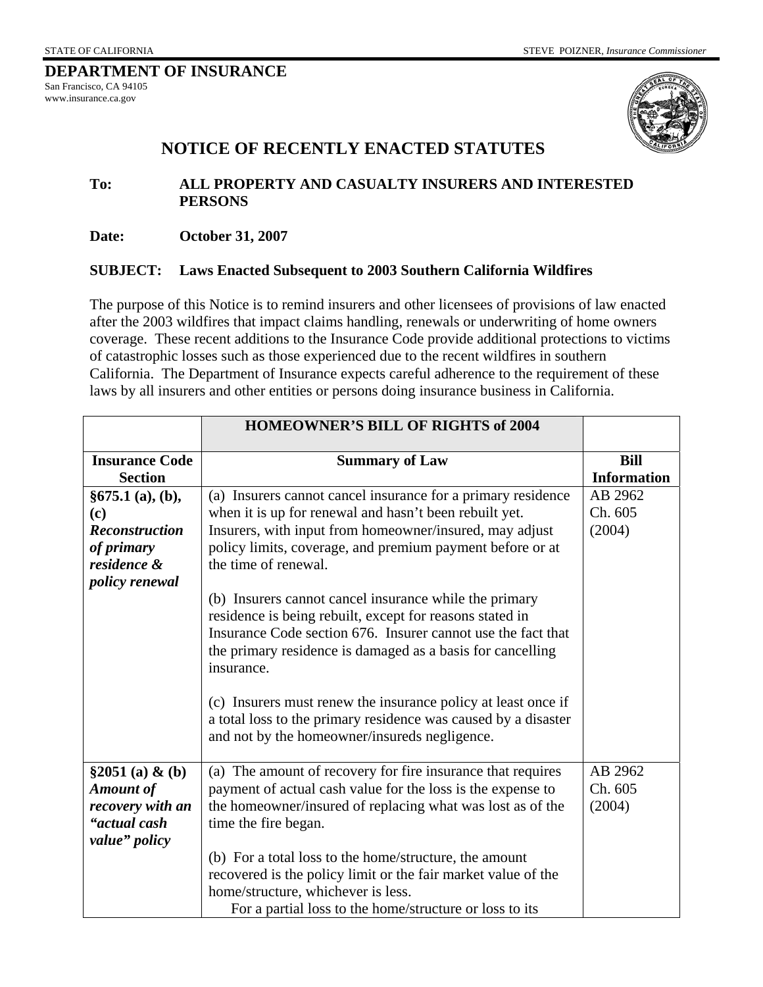| DEPARTMENT OF INSURANCE |
|-------------------------|
| San Francisco, CA 94105 |
| www.insurance.ca.gov    |
|                         |



## **NOTICE OF RECENTLY ENACTED STATUTES**

**To: ALL PROPERTY AND CASUALTY INSURERS AND INTERESTED PERSONS** 

**Date: October 31, 2007** 

## **SUBJECT: Laws Enacted Subsequent to 2003 Southern California Wildfires**

The purpose of this Notice is to remind insurers and other licensees of provisions of law enacted after the 2003 wildfires that impact claims handling, renewals or underwriting of home owners coverage. These recent additions to the Insurance Code provide additional protections to victims of catastrophic losses such as those experienced due to the recent wildfires in southern California. The Department of Insurance expects careful adherence to the requirement of these laws by all insurers and other entities or persons doing insurance business in California.

|                                                                                                       | <b>HOMEOWNER'S BILL OF RIGHTS of 2004</b>                                                                                                                                                                                                                                                                                                                                                                                                                                                                                                                                                                                                                                                                                    |                                   |
|-------------------------------------------------------------------------------------------------------|------------------------------------------------------------------------------------------------------------------------------------------------------------------------------------------------------------------------------------------------------------------------------------------------------------------------------------------------------------------------------------------------------------------------------------------------------------------------------------------------------------------------------------------------------------------------------------------------------------------------------------------------------------------------------------------------------------------------------|-----------------------------------|
| <b>Insurance Code</b><br><b>Section</b>                                                               | <b>Summary of Law</b>                                                                                                                                                                                                                                                                                                                                                                                                                                                                                                                                                                                                                                                                                                        | <b>Bill</b><br><b>Information</b> |
| §675.1(a), (b),<br>(c)<br><b>Reconstruction</b><br>of primary<br>residence &<br><i>policy renewal</i> | (a) Insurers cannot cancel insurance for a primary residence<br>when it is up for renewal and hasn't been rebuilt yet.<br>Insurers, with input from homeowner/insured, may adjust<br>policy limits, coverage, and premium payment before or at<br>the time of renewal.<br>(b) Insurers cannot cancel insurance while the primary<br>residence is being rebuilt, except for reasons stated in<br>Insurance Code section 676. Insurer cannot use the fact that<br>the primary residence is damaged as a basis for cancelling<br>insurance.<br>(c) Insurers must renew the insurance policy at least once if<br>a total loss to the primary residence was caused by a disaster<br>and not by the homeowner/insureds negligence. | AB 2962<br>Ch. 605<br>(2004)      |
| \$2051(a) & (b)<br><b>Amount of</b><br>recovery with an<br>"actual cash<br>value" policy              | (a) The amount of recovery for fire insurance that requires<br>payment of actual cash value for the loss is the expense to<br>the homeowner/insured of replacing what was lost as of the<br>time the fire began.<br>(b) For a total loss to the home/structure, the amount<br>recovered is the policy limit or the fair market value of the<br>home/structure, whichever is less.<br>For a partial loss to the home/structure or loss to its                                                                                                                                                                                                                                                                                 | AB 2962<br>Ch. 605<br>(2004)      |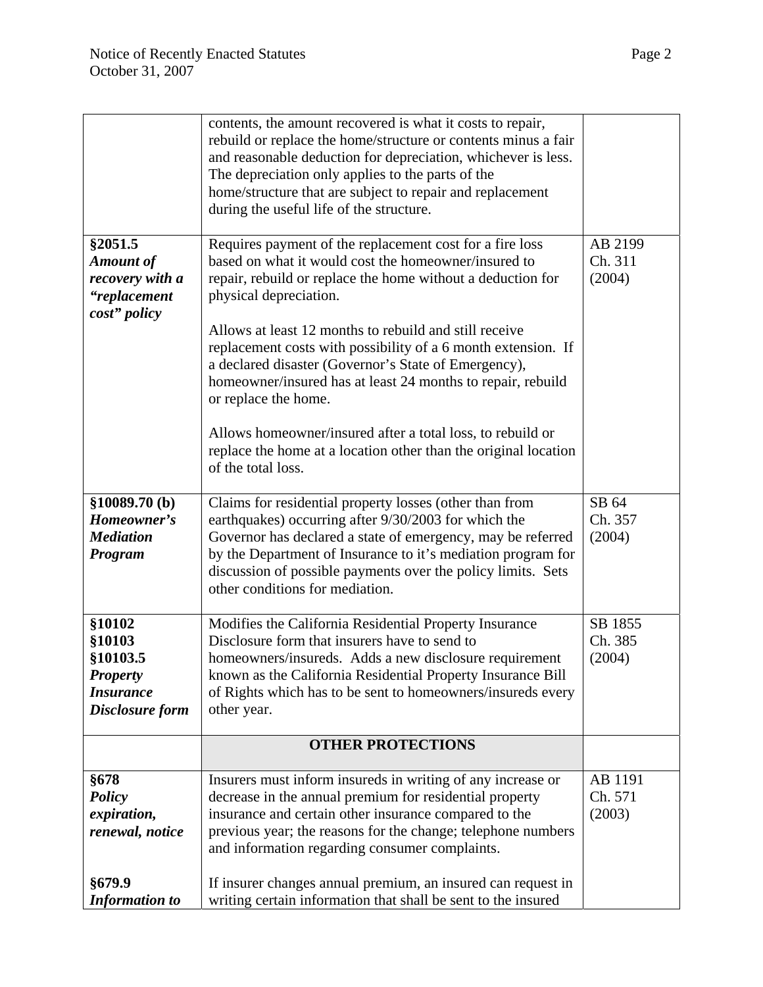|                                                                                        | contents, the amount recovered is what it costs to repair,<br>rebuild or replace the home/structure or contents minus a fair<br>and reasonable deduction for depreciation, whichever is less.<br>The depreciation only applies to the parts of the<br>home/structure that are subject to repair and replacement<br>during the useful life of the structure. |                              |
|----------------------------------------------------------------------------------------|-------------------------------------------------------------------------------------------------------------------------------------------------------------------------------------------------------------------------------------------------------------------------------------------------------------------------------------------------------------|------------------------------|
| §2051.5<br><b>Amount of</b><br>recovery with a<br>"replacement<br>cost" policy         | Requires payment of the replacement cost for a fire loss<br>based on what it would cost the homeowner/insured to<br>repair, rebuild or replace the home without a deduction for<br>physical depreciation.                                                                                                                                                   | AB 2199<br>Ch. 311<br>(2004) |
|                                                                                        | Allows at least 12 months to rebuild and still receive<br>replacement costs with possibility of a 6 month extension. If<br>a declared disaster (Governor's State of Emergency),<br>homeowner/insured has at least 24 months to repair, rebuild<br>or replace the home.                                                                                      |                              |
|                                                                                        | Allows homeowner/insured after a total loss, to rebuild or<br>replace the home at a location other than the original location<br>of the total loss.                                                                                                                                                                                                         |                              |
| \$10089.70(b)<br>Homeowner's<br><b>Mediation</b><br>Program                            | Claims for residential property losses (other than from<br>earthquakes) occurring after 9/30/2003 for which the<br>Governor has declared a state of emergency, may be referred<br>by the Department of Insurance to it's mediation program for<br>discussion of possible payments over the policy limits. Sets<br>other conditions for mediation.           | SB 64<br>Ch. 357<br>(2004)   |
| §10102<br>§10103<br>§10103.5<br><b>Property</b><br><b>Insurance</b><br>Disclosure form | Modifies the California Residential Property Insurance<br>Disclosure form that insurers have to send to<br>homeowners/insureds. Adds a new disclosure requirement<br>known as the California Residential Property Insurance Bill<br>of Rights which has to be sent to homeowners/insureds every<br>other year.                                              | SB 1855<br>Ch. 385<br>(2004) |
|                                                                                        | <b>OTHER PROTECTIONS</b>                                                                                                                                                                                                                                                                                                                                    |                              |
| §678<br><b>Policy</b><br>expiration,<br>renewal, notice                                | Insurers must inform insureds in writing of any increase or<br>decrease in the annual premium for residential property<br>insurance and certain other insurance compared to the<br>previous year; the reasons for the change; telephone numbers<br>and information regarding consumer complaints.                                                           | AB 1191<br>Ch. 571<br>(2003) |
| §679.9<br><b>Information to</b>                                                        | If insurer changes annual premium, an insured can request in<br>writing certain information that shall be sent to the insured                                                                                                                                                                                                                               |                              |

4